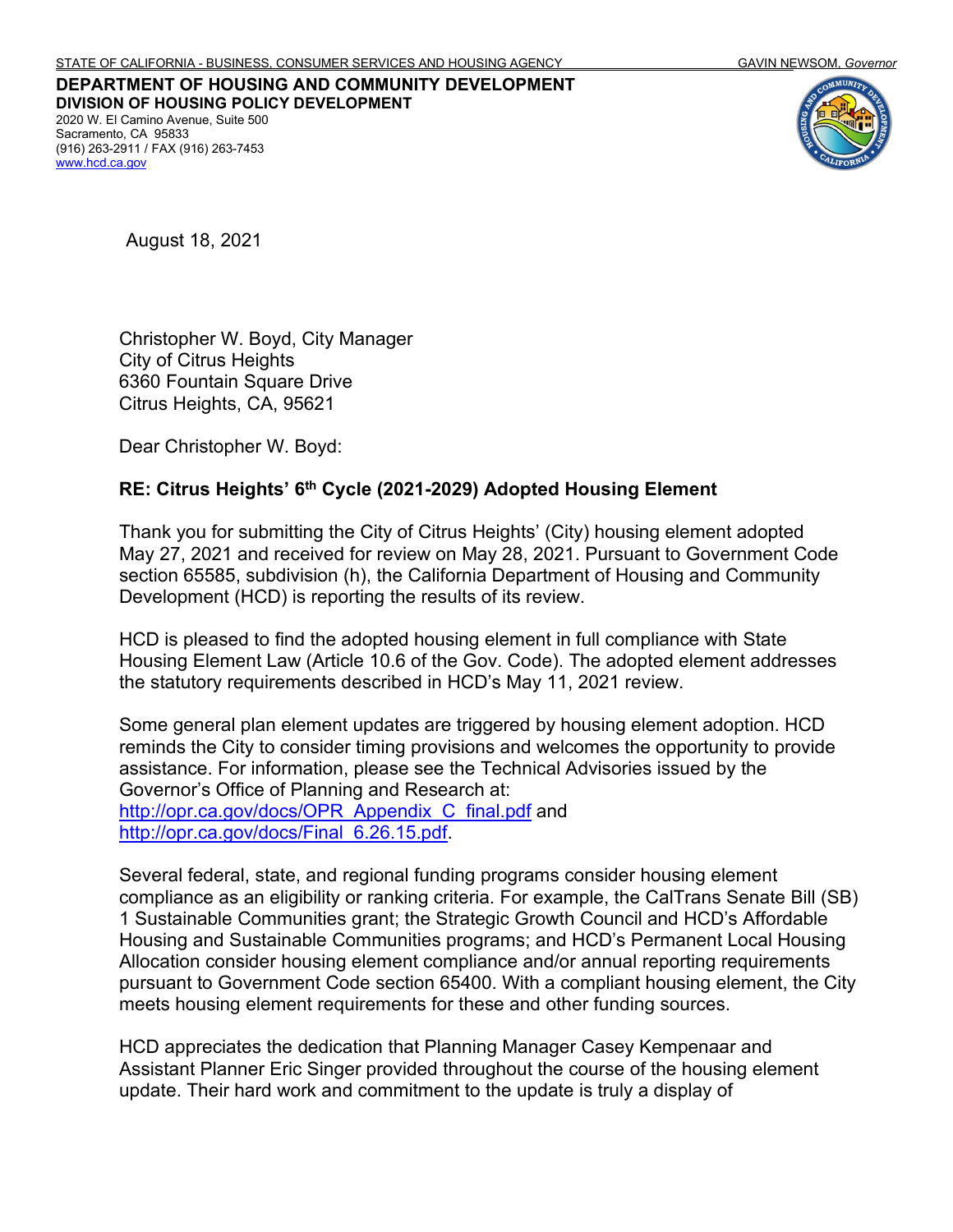**DEPARTMENT OF HOUSING AND COMMUNITY DEVELOPMENT DIVISION OF HOUSING POLICY DEVELOPMENT** 2020 W. El Camino Avenue, Suite 500 Sacramento, CA 95833 (916) 263-2911 / FAX (916) 263-7453 [www.hcd.ca.gov](http://www.hcd.ca.gov/)



August 18, 2021

Christopher W. Boyd, City Manager City of Citrus Heights 6360 Fountain Square Drive Citrus Heights, CA, 95621

Dear Christopher W. Boyd:

## **RE: Citrus Heights' 6th Cycle (2021-2029) Adopted Housing Element**

Thank you for submitting the City of Citrus Heights' (City) housing element adopted May 27, 2021 and received for review on May 28, 2021. Pursuant to Government Code section 65585, subdivision (h), the California Department of Housing and Community Development (HCD) is reporting the results of its review.

HCD is pleased to find the adopted housing element in full compliance with State Housing Element Law (Article 10.6 of the Gov. Code). The adopted element addresses the statutory requirements described in HCD's May 11, 2021 review.

Some general plan element updates are triggered by housing element adoption. HCD reminds the City to consider timing provisions and welcomes the opportunity to provide assistance. For information, please see the Technical Advisories issued by the Governor's Office of Planning and Research at: [http://opr.ca.gov/docs/OPR\\_Appendix\\_C\\_final.pdf](http://opr.ca.gov/docs/OPR_Appendix_C_final.pdf) and [http://opr.ca.gov/docs/Final\\_6.26.15.pdf.](http://opr.ca.gov/docs/Final_6.26.15.pdf)

Several federal, state, and regional funding programs consider housing element compliance as an eligibility or ranking criteria. For example, the CalTrans Senate Bill (SB) 1 Sustainable Communities grant; the Strategic Growth Council and HCD's Affordable Housing and Sustainable Communities programs; and HCD's Permanent Local Housing Allocation consider housing element compliance and/or annual reporting requirements pursuant to Government Code section 65400. With a compliant housing element, the City meets housing element requirements for these and other funding sources.

HCD appreciates the dedication that Planning Manager Casey Kempenaar and Assistant Planner Eric Singer provided throughout the course of the housing element update. Their hard work and commitment to the update is truly a display of